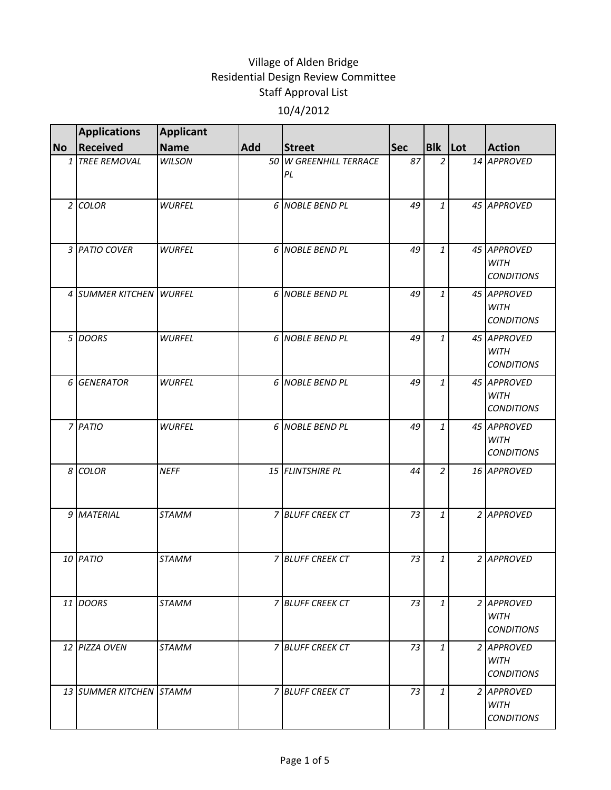|                | <b>Applications</b>     | <b>Applicant</b> |     |                              |            |                |                                                 |
|----------------|-------------------------|------------------|-----|------------------------------|------------|----------------|-------------------------------------------------|
| <b>No</b>      | Received                | <b>Name</b>      | Add | <b>Street</b>                | <b>Sec</b> | Blk Lot        | <b>Action</b>                                   |
|                | 1 TREE REMOVAL          | <b>WILSON</b>    |     | 50 W GREENHILL TERRACE<br>PL | 87         | $\overline{2}$ | 14 APPROVED                                     |
|                | $2$ COLOR               | <b>WURFEL</b>    |     | 6 NOBLE BEND PL              | 49         | $\mathbf{1}$   | 45 APPROVED                                     |
|                | 3 PATIO COVER           | <b>WURFEL</b>    |     | 6 NOBLE BEND PL              | 49         | $\mathbf{1}$   | 45 APPROVED<br><b>WITH</b><br><b>CONDITIONS</b> |
|                | 4 SUMMER KITCHEN WURFEL |                  |     | 6 NOBLE BEND PL              | 49         | $\mathbf{1}$   | 45 APPROVED<br><b>WITH</b><br><b>CONDITIONS</b> |
|                | 5 DOORS                 | <b>WURFEL</b>    |     | 6 NOBLE BEND PL              | 49         | $\mathbf{1}$   | 45 APPROVED<br><b>WITH</b><br><b>CONDITIONS</b> |
|                | 6 GENERATOR             | <b>WURFEL</b>    |     | 6 NOBLE BEND PL              | 49         | $\mathbf{1}$   | 45 APPROVED<br><b>WITH</b><br><b>CONDITIONS</b> |
|                | 7 PATIO                 | <b>WURFEL</b>    |     | 6 NOBLE BEND PL              | 49         | $\mathbf{1}$   | 45 APPROVED<br><b>WITH</b><br><b>CONDITIONS</b> |
| 8 <sup>1</sup> | <b>COLOR</b>            | <b>NEFF</b>      |     | 15 FLINTSHIRE PL             | 44         | $\overline{2}$ | 16 APPROVED                                     |
|                | 9 MATERIAL              | <b>STAMM</b>     |     | 7 BLUFF CREEK CT             | 73         | $\mathbf{1}$   | 2 APPROVED                                      |
|                | 10 PATIO                | <b>STAMM</b>     |     | <b>7 BLUFF CREEK CT</b>      | 73         | 1              | 2 APPROVED                                      |
|                | 11 DOORS                | <b>STAMM</b>     |     | 7 BLUFF CREEK CT             | 73         | $\mathbf{1}$   | 2 APPROVED<br><b>WITH</b><br><b>CONDITIONS</b>  |
|                | 12 PIZZA OVEN           | <b>STAMM</b>     |     | 7 BLUFF CREEK CT             | 73         | $\mathbf{1}$   | 2 APPROVED<br><b>WITH</b><br><b>CONDITIONS</b>  |
|                | 13 SUMMER KITCHEN STAMM |                  |     | 7 BLUFF CREEK CT             | 73         | $\mathbf{1}$   | 2 APPROVED<br><b>WITH</b><br><b>CONDITIONS</b>  |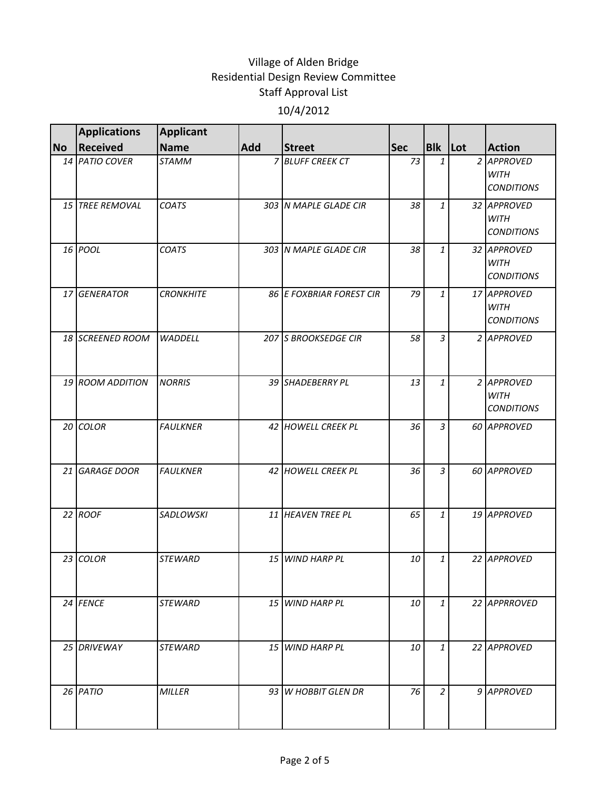|           | <b>Applications</b> | <b>Applicant</b> |            |                          |            |                |                                                 |
|-----------|---------------------|------------------|------------|--------------------------|------------|----------------|-------------------------------------------------|
| <b>No</b> | Received            | <b>Name</b>      | <b>Add</b> | <b>Street</b>            | <b>Sec</b> | <b>Blk</b> Lot | <b>Action</b>                                   |
|           | 14 PATIO COVER      | <b>STAMM</b>     |            | 7 BLUFF CREEK CT         | 73         | 1              | 2 APPROVED<br><b>WITH</b><br><b>CONDITIONS</b>  |
|           | 15 TREE REMOVAL     | <b>COATS</b>     |            | 303 N MAPLE GLADE CIR    | 38         | 1              | 32 APPROVED<br><b>WITH</b><br><b>CONDITIONS</b> |
|           | 16 <i>POOL</i>      | <b>COATS</b>     |            | 303 N MAPLE GLADE CIR    | 38         | 1              | 32 APPROVED<br><b>WITH</b><br><b>CONDITIONS</b> |
|           | 17 GENERATOR        | <b>CRONKHITE</b> |            | 86 E FOXBRIAR FOREST CIR | 79         | $\mathbf{1}$   | 17 APPROVED<br><b>WITH</b><br><b>CONDITIONS</b> |
|           | 18 SCREENED ROOM    | <b>WADDELL</b>   |            | 207 S BROOKSEDGE CIR     | 58         | 3              | 2 APPROVED                                      |
|           | 19 ROOM ADDITION    | <b>NORRIS</b>    |            | 39 SHADEBERRY PL         | 13         | 1              | 2 APPROVED<br><b>WITH</b><br><b>CONDITIONS</b>  |
|           | 20 COLOR            | <b>FAULKNER</b>  |            | 42 HOWELL CREEK PL       | 36         | $\overline{3}$ | 60 APPROVED                                     |
|           | 21 GARAGE DOOR      | <b>FAULKNER</b>  |            | 42 HOWELL CREEK PL       | 36         | $\mathfrak{Z}$ | 60 APPROVED                                     |
|           | 22 ROOF             | <b>SADLOWSKI</b> |            | 11 HEAVEN TREE PL        | 65         | $\mathbf{1}$   | 19 APPROVED                                     |
|           | 23 COLOR            | <b>STEWARD</b>   | 15         | <b>WIND HARP PL</b>      | 10         | 1              | 22 APPROVED                                     |
|           | 24 FENCE            | <b>STEWARD</b>   |            | 15 WIND HARP PL          | 10         | 1              | 22 APPRROVED                                    |
|           | 25 DRIVEWAY         | <b>STEWARD</b>   |            | 15 WIND HARP PL          | 10         | 1              | 22 APPROVED                                     |
|           | 26 PATIO            | <b>MILLER</b>    |            | 93 W HOBBIT GLEN DR      | 76         | $\overline{2}$ | 9 APPROVED                                      |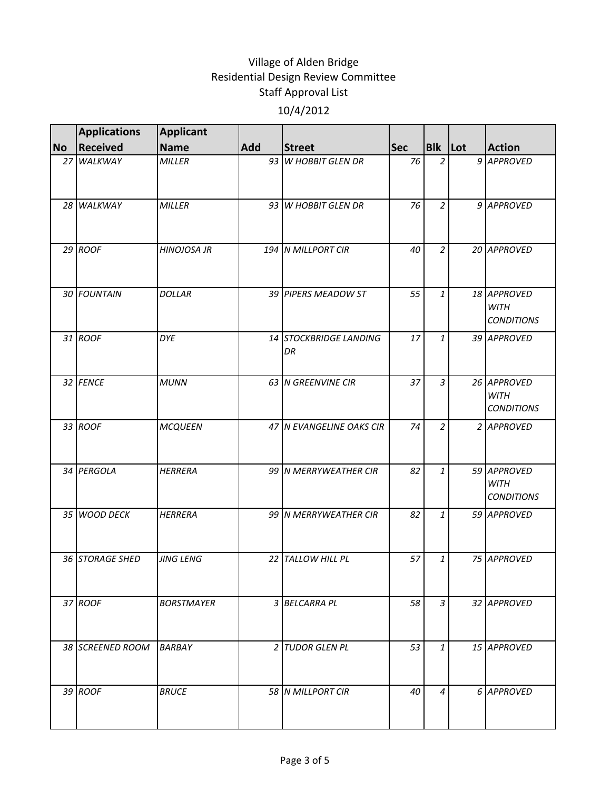|           | <b>Applications</b> | <b>Applicant</b>   |            |                              |     |                |                                                 |
|-----------|---------------------|--------------------|------------|------------------------------|-----|----------------|-------------------------------------------------|
| <b>No</b> | <b>Received</b>     | <b>Name</b>        | <b>Add</b> | <b>Street</b>                | Sec | Blk Lot        | <b>Action</b>                                   |
|           | 27 WALKWAY          | <b>MILLER</b>      |            | 93 W HOBBIT GLEN DR          | 76  | 2              | 9 APPROVED                                      |
|           | 28 WALKWAY          | <b>MILLER</b>      |            | 93 W HOBBIT GLEN DR          | 76  | $\overline{a}$ | 9 APPROVED                                      |
|           | $29$ ROOF           | <b>HINOJOSA JR</b> |            | 194 N MILLPORT CIR           | 40  | $\overline{2}$ | 20 APPROVED                                     |
|           | 30 FOUNTAIN         | <b>DOLLAR</b>      |            | 39 PIPERS MEADOW ST          | 55  | $\mathbf{1}$   | 18 APPROVED<br><b>WITH</b><br><b>CONDITIONS</b> |
|           | 31 ROOF             | <b>DYE</b>         |            | 14 STOCKBRIDGE LANDING<br>DR | 17  | $\mathbf{1}$   | 39 APPROVED                                     |
|           | 32 FENCE            | <b>MUNN</b>        |            | 63 N GREENVINE CIR           | 37  | $\mathfrak{Z}$ | 26 APPROVED<br><b>WITH</b><br><b>CONDITIONS</b> |
|           | 33 ROOF             | <b>MCQUEEN</b>     |            | 47 N EVANGELINE OAKS CIR     | 74  | $\overline{2}$ | 2 APPROVED                                      |
|           | 34 PERGOLA          | <b>HERRERA</b>     |            | 99 N MERRYWEATHER CIR        | 82  | $\mathbf{1}$   | 59 APPROVED<br><b>WITH</b><br><b>CONDITIONS</b> |
|           | 35 WOOD DECK        | <b>HERRERA</b>     |            | 99 N MERRYWEATHER CIR        | 82  | $\mathbf{1}$   | 59 APPROVED                                     |
|           | 36 STORAGE SHED     | <b>JING LENG</b>   | 22 I       | <b>TALLOW HILL PL</b>        | 57  | $\mathbf{1}$   | 75 APPROVED                                     |
|           | 37 ROOF             | <b>BORSTMAYER</b>  |            | 3 BELCARRA PL                | 58  | 3              | 32 APPROVED                                     |
|           | 38 SCREENED ROOM    | <b>BARBAY</b>      |            | 2 TUDOR GLEN PL              | 53  | $\mathbf{1}$   | 15 APPROVED                                     |
|           | 39 ROOF             | <b>BRUCE</b>       |            | 58 N MILLPORT CIR            | 40  | 4              | 6 APPROVED                                      |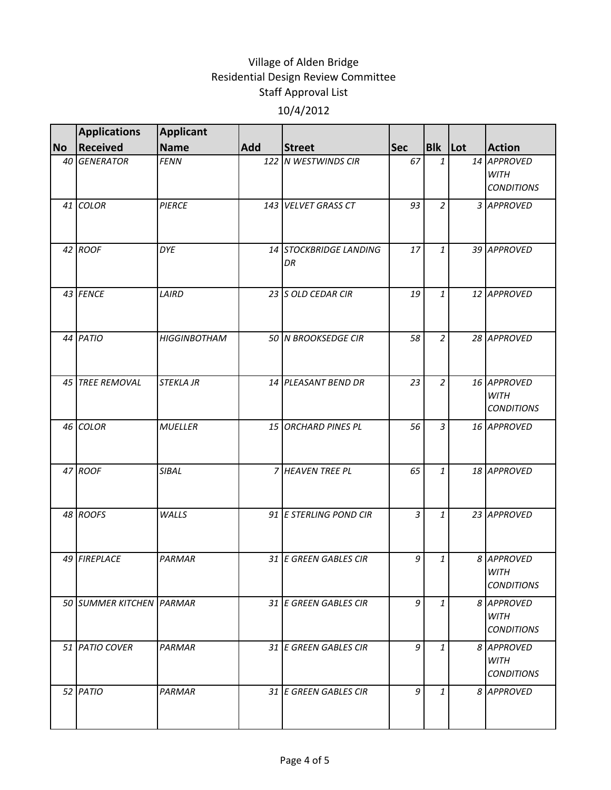|           | <b>Applications</b>      | <b>Applicant</b>    |            |                              |            |                |                                                 |
|-----------|--------------------------|---------------------|------------|------------------------------|------------|----------------|-------------------------------------------------|
| <b>No</b> | <b>Received</b>          | <b>Name</b>         | <b>Add</b> | <b>Street</b>                | <b>Sec</b> | Blk Lot        | <b>Action</b>                                   |
|           | 40 GENERATOR             | <b>FENN</b>         |            | 122 N WESTWINDS CIR          | 67         | $\mathbf{1}$   | 14 APPROVED<br><b>WITH</b><br><b>CONDITIONS</b> |
|           | 41 COLOR                 | <b>PIERCE</b>       |            | 143 VELVET GRASS CT          | 93         | $\overline{a}$ | 3 APPROVED                                      |
|           | 42 ROOF                  | <b>DYE</b>          |            | 14 STOCKBRIDGE LANDING<br>DR | 17         | $\mathbf{1}$   | 39 APPROVED                                     |
|           | 43 FENCE                 | LAIRD               |            | 23 S OLD CEDAR CIR           | 19         | $\mathbf{1}$   | 12 APPROVED                                     |
|           | 44 PATIO                 | <b>HIGGINBOTHAM</b> |            | 50 N BROOKSEDGE CIR          | 58         | $\overline{a}$ | 28 APPROVED                                     |
|           | 45 TREE REMOVAL          | <b>STEKLA JR</b>    |            | 14 PLEASANT BEND DR          | 23         | $\overline{2}$ | 16 APPROVED<br><b>WITH</b><br><b>CONDITIONS</b> |
|           | 46 COLOR                 | <b>MUELLER</b>      |            | 15 ORCHARD PINES PL          | 56         | $\overline{3}$ | 16 APPROVED                                     |
|           | 47 ROOF                  | SIBAL               |            | 7 HEAVEN TREE PL             | 65         | $\mathbf{1}$   | 18 APPROVED                                     |
|           | 48 ROOFS                 | WALLS               |            | 91 E STERLING POND CIR       | 3          | $\mathbf{1}$   | 23 APPROVED                                     |
|           | 49 FIREPLACE             | <b>PARMAR</b>       |            | 31 E GREEN GABLES CIR        | 9          | $\mathbf{1}$   | 8 APPROVED<br><b>WITH</b><br><b>CONDITIONS</b>  |
|           | 50 SUMMER KITCHEN PARMAR |                     |            | 31 E GREEN GABLES CIR        | 9          | $\mathbf{1}$   | 8 APPROVED<br><b>WITH</b><br><b>CONDITIONS</b>  |
|           | 51 PATIO COVER           | <b>PARMAR</b>       |            | 31 E GREEN GABLES CIR        | 9          | $\mathbf{1}$   | 8 APPROVED<br><b>WITH</b><br><b>CONDITIONS</b>  |
|           | 52 PATIO                 | PARMAR              |            | 31 E GREEN GABLES CIR        | 9          | $\mathbf{1}$   | 8 APPROVED                                      |